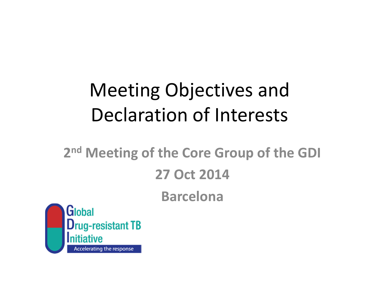# Meeting Objectives and Declaration of Interests

#### 2<sup>nd</sup> Meeting of the Core Group of the GDI 27 Oct 2014 Barcelona

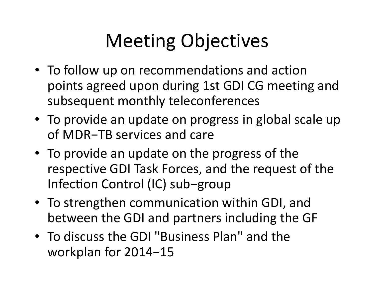## Meeting Objectives

- To follow up on recommendations and action points agreed upon during 1st GDI CG meeting and subsequent monthly teleconferences
- To provide an update on progress in global scale upof MDR−TB services and care
- To provide an update on the progress of the respective GDI Task Forces, and the request of the Infection Control (IC) sub−group
- To strengthen communication within GDI, and between the GDI and partners including the GF
- To discuss the GDI "Business Plan" and the workplan for 2014−15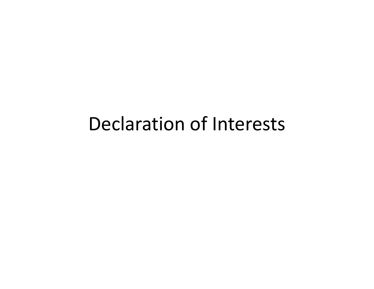### Declaration of Interests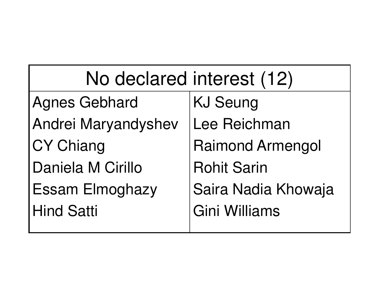| No declared interest (12) |                         |
|---------------------------|-------------------------|
| Agnes Gebhard             | <b>KJ Seung</b>         |
| Andrei Maryandyshev       | Lee Reichman            |
| <b>CY Chiang</b>          | <b>Raimond Armengol</b> |
| Daniela M Cirillo         | <b>Rohit Sarin</b>      |
| <b>Essam Elmoghazy</b>    | Saira Nadia Khowaja     |
| <b>Hind Satti</b>         | Gini Williams           |
|                           |                         |